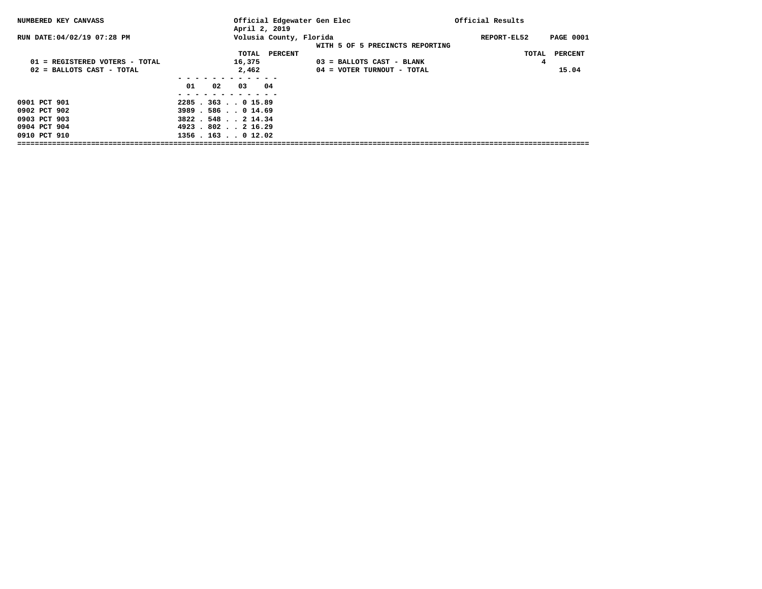| NUMBERED KEY CANVASS                                         | Official Edgewater Gen Elec<br>April 2, 2019                     |                                                         | Official Results                |
|--------------------------------------------------------------|------------------------------------------------------------------|---------------------------------------------------------|---------------------------------|
| RUN DATE: 04/02/19 07:28 PM                                  | Volusia County, Florida                                          | WITH 5 OF 5 PRECINCTS REPORTING                         | <b>PAGE 0001</b><br>REPORT-EL52 |
| 01 = REGISTERED VOTERS - TOTAL<br>02 = BALLOTS CAST - TOTAL  | PERCENT<br>TOTAL<br>16,375<br>2,462                              | 03 = BALLOTS CAST - BLANK<br>04 = VOTER TURNOUT - TOTAL | TOTAL PERCENT<br>4<br>15.04     |
|                                                              | 04<br>01<br>02<br>03                                             |                                                         |                                 |
| 0901 PCT 901<br>0902 PCT 902<br>0903 PCT 903<br>0904 PCT 904 | $2285$ $.363$ $.015.89$<br>3989.586.014.69<br>3822 . 548 2 14.34 |                                                         |                                 |
| 0910 PCT 910                                                 | 4923.802216.29<br>$1356$ , $163$ , $012.02$                      |                                                         |                                 |